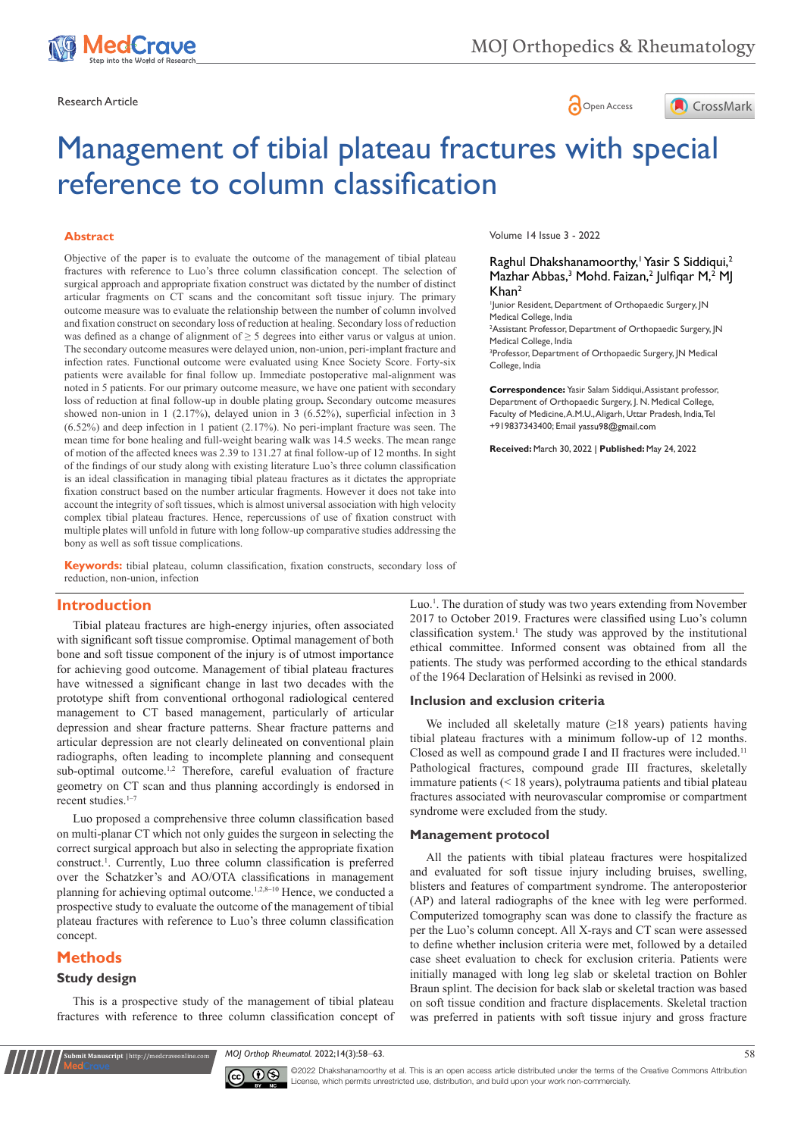

Research Article **Contracts and Contracts and Contracts and Contracts and Contracts and Contracts and Copen Access** 



# Management of tibial plateau fractures with special reference to column classification

# **Abstract**

Objective of the paper is to evaluate the outcome of the management of tibial plateau fractures with reference to Luo's three column classification concept. The selection of surgical approach and appropriate fixation construct was dictated by the number of distinct articular fragments on CT scans and the concomitant soft tissue injury. The primary outcome measure was to evaluate the relationship between the number of column involved and fixation construct on secondary loss of reduction at healing. Secondary loss of reduction was defined as a change of alignment of ≥ 5 degrees into either varus or valgus at union. The secondary outcome measures were delayed union, non-union, peri-implant fracture and infection rates. Functional outcome were evaluated using Knee Society Score. Forty-six patients were available for final follow up. Immediate postoperative mal-alignment was noted in 5 patients. For our primary outcome measure, we have one patient with secondary loss of reduction at final follow-up in double plating group**.** Secondary outcome measures showed non-union in 1 (2.17%), delayed union in 3 (6.52%), superficial infection in 3 (6.52%) and deep infection in 1 patient (2.17%). No peri-implant fracture was seen. The mean time for bone healing and full-weight bearing walk was 14.5 weeks. The mean range of motion of the affected knees was 2.39 to 131.27 at final follow-up of 12 months. In sight of the findings of our study along with existing literature Luo's three column classification is an ideal classification in managing tibial plateau fractures as it dictates the appropriate fixation construct based on the number articular fragments. However it does not take into account the integrity of soft tissues, which is almost universal association with high velocity complex tibial plateau fractures. Hence, repercussions of use of fixation construct with multiple plates will unfold in future with long follow-up comparative studies addressing the bony as well as soft tissue complications.

**Keywords:** tibial plateau, column classification, fixation constructs, secondary loss of reduction, non-union, infection

# **Introduction**

Tibial plateau fractures are high-energy injuries, often associated with significant soft tissue compromise. Optimal management of both bone and soft tissue component of the injury is of utmost importance for achieving good outcome. Management of tibial plateau fractures have witnessed a significant change in last two decades with the prototype shift from conventional orthogonal radiological centered management to CT based management, particularly of articular depression and shear fracture patterns. Shear fracture patterns and articular depression are not clearly delineated on conventional plain radiographs, often leading to incomplete planning and consequent sub-optimal outcome.<sup>1,2</sup> Therefore, careful evaluation of fracture geometry on CT scan and thus planning accordingly is endorsed in recent studies.<sup>1-7</sup>

Luo proposed a comprehensive three column classification based on multi-planar CT which not only guides the surgeon in selecting the correct surgical approach but also in selecting the appropriate fixation construct.<sup>1</sup> . Currently, Luo three column classification is preferred over the Schatzker's and AO/OTA classifications in management planning for achieving optimal outcome.<sup>1,2,8-10</sup> Hence, we conducted a prospective study to evaluate the outcome of the management of tibial plateau fractures with reference to Luo's three column classification concept.

# **Methods**

# **Study design**

**Kubmit Manuscript** | http://medcraveonline.c

This is a prospective study of the management of tibial plateau fractures with reference to three column classification concept of Volume 14 Issue 3 - 2022

Raghul Dhakshanamoorthy,<sup>1</sup> Yasir S Siddiqui,<sup>2</sup> Mazhar Abbas,<sup>3</sup> Mohd. Faizan,<sup>2</sup> Julfiqar M,<sup>2</sup> MJ  $K$ han<sup>2</sup>

1 Junior Resident, Department of Orthopaedic Surgery, JN Medical College, India

2 Assistant Professor, Department of Orthopaedic Surgery, JN Medical College, India

3 Professor, Department of Orthopaedic Surgery, JN Medical College, India

**Correspondence:** Yasir Salam Siddiqui, Assistant professor, Department of Orthopaedic Surgery, J. N. Medical College, Faculty of Medicine, A.M.U., Aligarh, Uttar Pradesh, India, Tel +919837343400; Email

**Received:** March 30, 2022 | **Published:** May 24, 2022

Luo.<sup>1</sup>. The duration of study was two years extending from November 2017 to October 2019. Fractures were classified using Luo's column classification system.<sup>1</sup> The study was approved by the institutional ethical committee. Informed consent was obtained from all the patients. The study was performed according to the ethical standards of the 1964 Declaration of Helsinki as revised in 2000.

# **Inclusion and exclusion criteria**

We included all skeletally mature  $(\geq 18$  years) patients having tibial plateau fractures with a minimum follow-up of 12 months. Closed as well as compound grade I and II fractures were included.<sup>11</sup> Pathological fractures, compound grade III fractures, skeletally immature patients (< 18 years), polytrauma patients and tibial plateau fractures associated with neurovascular compromise or compartment syndrome were excluded from the study.

#### **Management protocol**

All the patients with tibial plateau fractures were hospitalized and evaluated for soft tissue injury including bruises, swelling, blisters and features of compartment syndrome. The anteroposterior (AP) and lateral radiographs of the knee with leg were performed. Computerized tomography scan was done to classify the fracture as per the Luo's column concept. All X-rays and CT scan were assessed to define whether inclusion criteria were met, followed by a detailed case sheet evaluation to check for exclusion criteria. Patients were initially managed with long leg slab or skeletal traction on Bohler Braun splint. The decision for back slab or skeletal traction was based on soft tissue condition and fracture displacements. Skeletal traction was preferred in patients with soft tissue injury and gross fracture

*MOJ Orthop Rheumatol.* 2022;14(3):58‒63. 58



©2022 Dhakshanamoorthy et al. This is an open access article distributed under the terms of the Creative Commons Attribution License, which permits unrestricted use, distribution, and build upon your work non-commercially.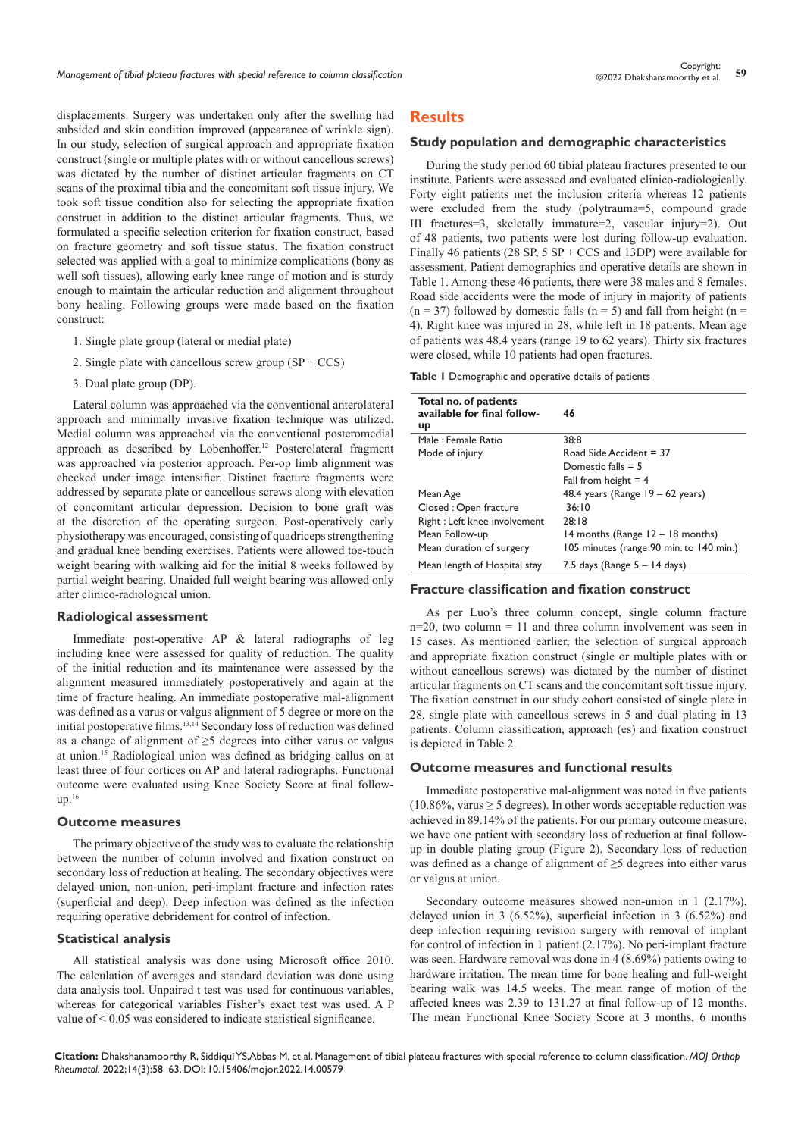displacements. Surgery was undertaken only after the swelling had subsided and skin condition improved (appearance of wrinkle sign). In our study, selection of surgical approach and appropriate fixation construct (single or multiple plates with or without cancellous screws) was dictated by the number of distinct articular fragments on CT scans of the proximal tibia and the concomitant soft tissue injury. We took soft tissue condition also for selecting the appropriate fixation construct in addition to the distinct articular fragments. Thus, we formulated a specific selection criterion for fixation construct, based on fracture geometry and soft tissue status. The fixation construct selected was applied with a goal to minimize complications (bony as well soft tissues), allowing early knee range of motion and is sturdy enough to maintain the articular reduction and alignment throughout bony healing. Following groups were made based on the fixation construct:

- 1. Single plate group (lateral or medial plate)
- 2. Single plate with cancellous screw group  $(SP + CCS)$
- 3. Dual plate group (DP).

Lateral column was approached via the conventional anterolateral approach and minimally invasive fixation technique was utilized. Medial column was approached via the conventional posteromedial approach as described by Lobenhoffer.<sup>12</sup> Posterolateral fragment was approached via posterior approach. Per-op limb alignment was checked under image intensifier. Distinct fracture fragments were addressed by separate plate or cancellous screws along with elevation of concomitant articular depression. Decision to bone graft was at the discretion of the operating surgeon. Post-operatively early physiotherapy was encouraged, consisting of quadriceps strengthening and gradual knee bending exercises. Patients were allowed toe-touch weight bearing with walking aid for the initial 8 weeks followed by partial weight bearing. Unaided full weight bearing was allowed only after clinico-radiological union.

# **Radiological assessment**

Immediate post-operative AP & lateral radiographs of leg including knee were assessed for quality of reduction. The quality of the initial reduction and its maintenance were assessed by the alignment measured immediately postoperatively and again at the time of fracture healing. An immediate postoperative mal-alignment was defined as a varus or valgus alignment of 5 degree or more on the initial postoperative films.13,14 Secondary loss of reduction was defined as a change of alignment of ≥5 degrees into either varus or valgus at union.<sup>15</sup> Radiological union was defined as bridging callus on at least three of four cortices on AP and lateral radiographs. Functional outcome were evaluated using Knee Society Score at final follow $up.^{16}$ 

# **Outcome measures**

The primary objective of the study was to evaluate the relationship between the number of column involved and fixation construct on secondary loss of reduction at healing. The secondary objectives were delayed union, non-union, peri-implant fracture and infection rates (superficial and deep). Deep infection was defined as the infection requiring operative debridement for control of infection.

# **Statistical analysis**

All statistical analysis was done using Microsoft office 2010. The calculation of averages and standard deviation was done using data analysis tool. Unpaired t test was used for continuous variables, whereas for categorical variables Fisher's exact test was used. A P value of < 0.05 was considered to indicate statistical significance.

# **Results**

#### **Study population and demographic characteristics**

During the study period 60 tibial plateau fractures presented to our institute. Patients were assessed and evaluated clinico-radiologically. Forty eight patients met the inclusion criteria whereas 12 patients were excluded from the study (polytrauma=5, compound grade III fractures=3, skeletally immature=2, vascular injury=2). Out of 48 patients, two patients were lost during follow-up evaluation. Finally 46 patients (28 SP,  $5$  SP + CCS and 13DP) were available for assessment. Patient demographics and operative details are shown in Table 1. Among these 46 patients, there were 38 males and 8 females. Road side accidents were the mode of injury in majority of patients  $(n = 37)$  followed by domestic falls  $(n = 5)$  and fall from height  $(n = 15)$ 4). Right knee was injured in 28, while left in 18 patients. Mean age of patients was 48.4 years (range 19 to 62 years). Thirty six fractures were closed, while 10 patients had open fractures.

**Table 1** Demographic and operative details of patients

| Total no. of patients<br>available for final follow-<br>up | 46                                      |  |
|------------------------------------------------------------|-----------------------------------------|--|
| Male : Female Ratio                                        | 38:8                                    |  |
| Mode of injury                                             | Road Side Accident $=$ 37               |  |
|                                                            | Domestic falls $= 5$                    |  |
|                                                            | Fall from height $=$ 4                  |  |
| Mean Age                                                   | 48.4 years (Range $19 - 62$ years)      |  |
| Closed : Open fracture                                     | 36:10                                   |  |
| Right: Left knee involvement                               | 28:18                                   |  |
| Mean Follow-up                                             | 14 months (Range 12 – 18 months)        |  |
| Mean duration of surgery                                   | 105 minutes (range 90 min. to 140 min.) |  |
| Mean length of Hospital stay                               | 7.5 days (Range $5 - 14$ days)          |  |

#### **Fracture classification and fixation construct**

As per Luo's three column concept, single column fracture n=20, two column = 11 and three column involvement was seen in 15 cases. As mentioned earlier, the selection of surgical approach and appropriate fixation construct (single or multiple plates with or without cancellous screws) was dictated by the number of distinct articular fragments on CT scans and the concomitant soft tissue injury. The fixation construct in our study cohort consisted of single plate in 28, single plate with cancellous screws in 5 and dual plating in 13 patients. Column classification, approach (es) and fixation construct is depicted in Table 2.

#### **Outcome measures and functional results**

Immediate postoperative mal-alignment was noted in five patients (10.86%, varus  $\geq$  5 degrees). In other words acceptable reduction was achieved in 89.14% of the patients. For our primary outcome measure, we have one patient with secondary loss of reduction at final followup in double plating group (Figure 2). Secondary loss of reduction was defined as a change of alignment of ≥5 degrees into either varus or valgus at union.

Secondary outcome measures showed non-union in 1 (2.17%), delayed union in 3 (6.52%), superficial infection in 3 (6.52%) and deep infection requiring revision surgery with removal of implant for control of infection in 1 patient (2.17%). No peri-implant fracture was seen. Hardware removal was done in 4 (8.69%) patients owing to hardware irritation. The mean time for bone healing and full-weight bearing walk was 14.5 weeks. The mean range of motion of the affected knees was 2.39 to 131.27 at final follow-up of 12 months. The mean Functional Knee Society Score at 3 months, 6 months

**Citation:** Dhakshanamoorthy R, Siddiqui YS,Abbas M, et al. Management of tibial plateau fractures with special reference to column classification. *MOJ Orthop Rheumatol.* 2022;14(3):58‒63. DOI: [10.15406/mojor.2022.14.00579](https://doi.org/10.15406/mojor.2022.14.00579)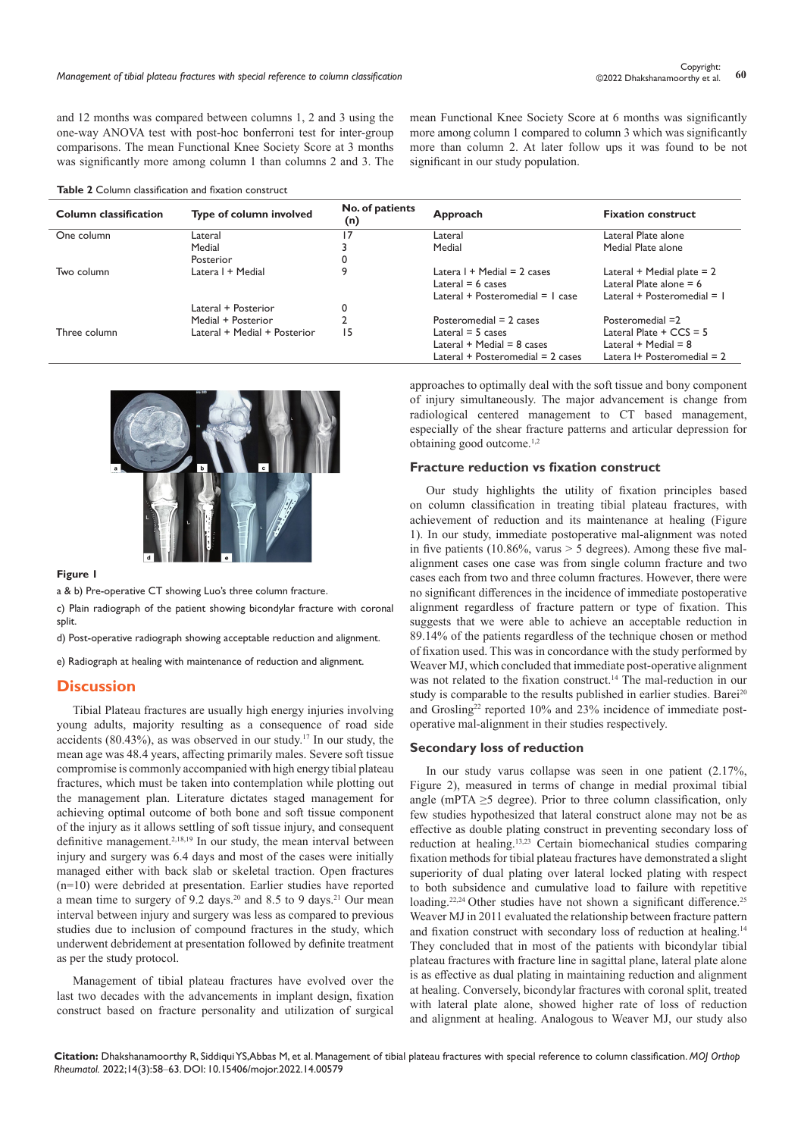and 12 months was compared between columns 1, 2 and 3 using the one-way ANOVA test with post-hoc bonferroni test for inter-group comparisons. The mean Functional Knee Society Score at 3 months was significantly more among column 1 than columns 2 and 3. The

#### **Table 2** Column classification and fixation construct

| Column classification | Type of column involved      | No. of patients<br>(n) | Approach                               | <b>Fixation construct</b>         |
|-----------------------|------------------------------|------------------------|----------------------------------------|-----------------------------------|
| One column            | Lateral                      | 17                     | Lateral                                | Lateral Plate alone               |
|                       | Medial                       |                        | Medial                                 | Medial Plate alone                |
|                       | Posterior                    |                        |                                        |                                   |
| Two column            | Latera I + Medial            | 9                      | Latera $1 +$ Medial = 2 cases          | Lateral + Medial plate $= 2$      |
|                       |                              |                        | Lateral $= 6$ cases                    | Lateral Plate alone $= 6$         |
|                       |                              |                        | Lateral + Posteromedial = $\vert$ case | Lateral + Posteromedial = $\vert$ |
|                       | Lateral + Posterior          | 0                      |                                        |                                   |
|                       | Medial + Posterior           |                        | Posteromedial $= 2$ cases              | Posteromedial =2                  |
| Three column          | Lateral + Medial + Posterior | 15                     | Lateral $=$ 5 cases                    | Lateral Plate $+$ CCS = 5         |
|                       |                              |                        | Lateral $+$ Medial $=$ 8 cases         | Lateral $+$ Medial $= 8$          |
|                       |                              |                        | Lateral $+$ Posteromedial $=$ 2 cases  | Latera I+ Posteromedial $= 2$     |



#### **Figure 1**

a & b) Pre-operative CT showing Luo's three column fracture.

c) Plain radiograph of the patient showing bicondylar fracture with coronal split.

d) Post-operative radiograph showing acceptable reduction and alignment.

e) Radiograph at healing with maintenance of reduction and alignment.

# **Discussion**

Tibial Plateau fractures are usually high energy injuries involving young adults, majority resulting as a consequence of road side accidents  $(80.43\%)$ , as was observed in our study.<sup>17</sup> In our study, the mean age was 48.4 years, affecting primarily males. Severe soft tissue compromise is commonly accompanied with high energy tibial plateau fractures, which must be taken into contemplation while plotting out the management plan. Literature dictates staged management for achieving optimal outcome of both bone and soft tissue component of the injury as it allows settling of soft tissue injury, and consequent definitive management.<sup>2,18,19</sup> In our study, the mean interval between injury and surgery was 6.4 days and most of the cases were initially managed either with back slab or skeletal traction. Open fractures (n=10) were debrided at presentation. Earlier studies have reported a mean time to surgery of 9.2 days.<sup>20</sup> and 8.5 to 9 days.<sup>21</sup> Our mean interval between injury and surgery was less as compared to previous studies due to inclusion of compound fractures in the study, which underwent debridement at presentation followed by definite treatment as per the study protocol.

Management of tibial plateau fractures have evolved over the last two decades with the advancements in implant design, fixation construct based on fracture personality and utilization of surgical approaches to optimally deal with the soft tissue and bony component of injury simultaneously. The major advancement is change from radiological centered management to CT based management, especially of the shear fracture patterns and articular depression for obtaining good outcome.1,2

mean Functional Knee Society Score at 6 months was significantly more among column 1 compared to column 3 which was significantly more than column 2. At later follow ups it was found to be not

significant in our study population.

# **Fracture reduction vs fixation construct**

Our study highlights the utility of fixation principles based on column classification in treating tibial plateau fractures, with achievement of reduction and its maintenance at healing (Figure 1). In our study, immediate postoperative mal-alignment was noted in five patients (10.86%, varus  $> 5$  degrees). Among these five malalignment cases one case was from single column fracture and two cases each from two and three column fractures. However, there were no significant differences in the incidence of immediate postoperative alignment regardless of fracture pattern or type of fixation. This suggests that we were able to achieve an acceptable reduction in 89.14% of the patients regardless of the technique chosen or method of fixation used. This was in concordance with the study performed by Weaver MJ, which concluded that immediate post-operative alignment was not related to the fixation construct.<sup>14</sup> The mal-reduction in our study is comparable to the results published in earlier studies. Barei<sup>20</sup> and Grosling<sup>22</sup> reported 10% and 23% incidence of immediate postoperative mal-alignment in their studies respectively.

# **Secondary loss of reduction**

In our study varus collapse was seen in one patient (2.17%, Figure 2), measured in terms of change in medial proximal tibial angle (mPTA  $\geq$ 5 degree). Prior to three column classification, only few studies hypothesized that lateral construct alone may not be as effective as double plating construct in preventing secondary loss of reduction at healing.13,23 Certain biomechanical studies comparing fixation methods for tibial plateau fractures have demonstrated a slight superiority of dual plating over lateral locked plating with respect to both subsidence and cumulative load to failure with repetitive loading.<sup>22,24</sup> Other studies have not shown a significant difference.<sup>25</sup> Weaver MJ in 2011 evaluated the relationship between fracture pattern and fixation construct with secondary loss of reduction at healing.<sup>14</sup> They concluded that in most of the patients with bicondylar tibial plateau fractures with fracture line in sagittal plane, lateral plate alone is as effective as dual plating in maintaining reduction and alignment at healing. Conversely, bicondylar fractures with coronal split, treated with lateral plate alone, showed higher rate of loss of reduction and alignment at healing. Analogous to Weaver MJ, our study also

**Citation:** Dhakshanamoorthy R, Siddiqui YS,Abbas M, et al. Management of tibial plateau fractures with special reference to column classification. *MOJ Orthop Rheumatol.* 2022;14(3):58‒63. DOI: [10.15406/mojor.2022.14.00579](https://doi.org/10.15406/mojor.2022.14.00579)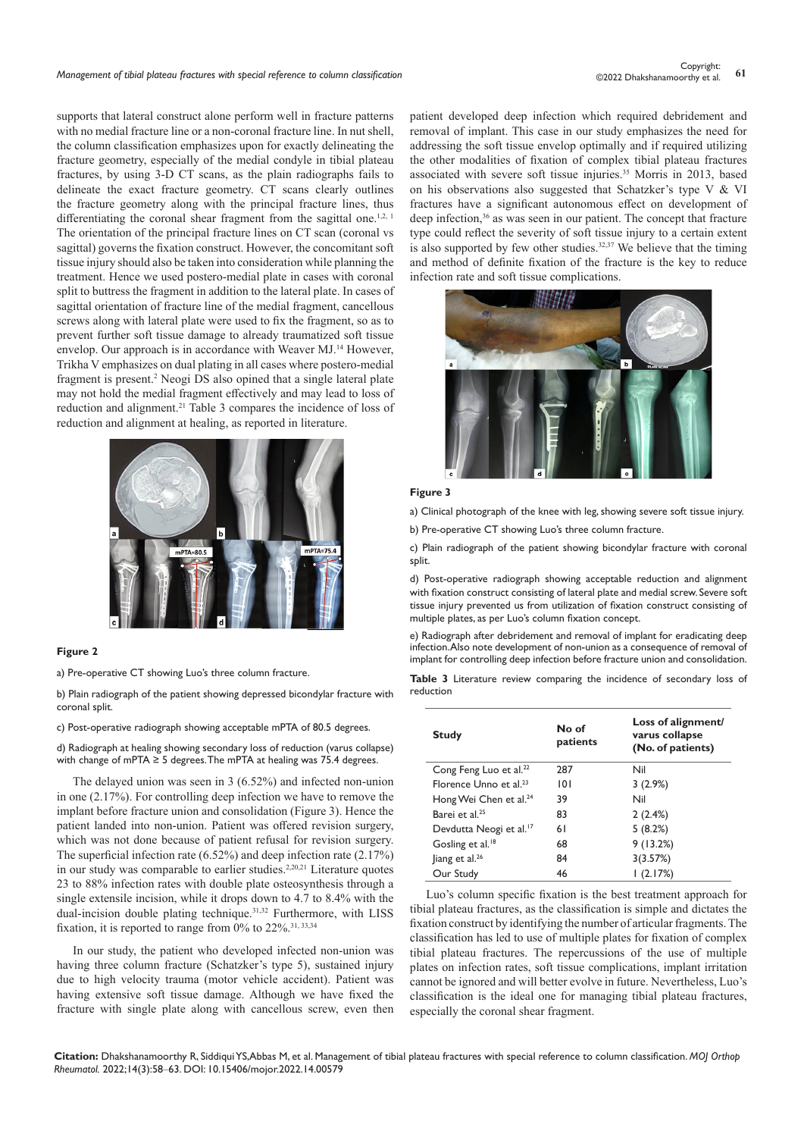supports that lateral construct alone perform well in fracture patterns with no medial fracture line or a non-coronal fracture line. In nut shell, the column classification emphasizes upon for exactly delineating the fracture geometry, especially of the medial condyle in tibial plateau fractures, by using 3-D CT scans, as the plain radiographs fails to delineate the exact fracture geometry. CT scans clearly outlines the fracture geometry along with the principal fracture lines, thus differentiating the coronal shear fragment from the sagittal one.<sup>1,2, 1</sup> The orientation of the principal fracture lines on CT scan (coronal vs sagittal) governs the fixation construct. However, the concomitant soft tissue injury should also be taken into consideration while planning the treatment. Hence we used postero-medial plate in cases with coronal split to buttress the fragment in addition to the lateral plate. In cases of sagittal orientation of fracture line of the medial fragment, cancellous screws along with lateral plate were used to fix the fragment, so as to prevent further soft tissue damage to already traumatized soft tissue envelop. Our approach is in accordance with Weaver MJ.<sup>14</sup> However, Trikha V emphasizes on dual plating in all cases where postero-medial fragment is present.<sup>2</sup> Neogi DS also opined that a single lateral plate may not hold the medial fragment effectively and may lead to loss of reduction and alignment.<sup>21</sup> Table 3 compares the incidence of loss of reduction and alignment at healing, as reported in literature.



### **Figure 2**

a) Pre-operative CT showing Luo's three column fracture.

b) Plain radiograph of the patient showing depressed bicondylar fracture with coronal split.

c) Post-operative radiograph showing acceptable mPTA of 80.5 degrees.

d) Radiograph at healing showing secondary loss of reduction (varus collapse) with change of mPTA  $\geq$  5 degrees. The mPTA at healing was 75.4 degrees.

The delayed union was seen in 3 (6.52%) and infected non-union in one (2.17%). For controlling deep infection we have to remove the implant before fracture union and consolidation (Figure 3). Hence the patient landed into non-union. Patient was offered revision surgery, which was not done because of patient refusal for revision surgery. The superficial infection rate (6.52%) and deep infection rate (2.17%) in our study was comparable to earlier studies.<sup>2,20,21</sup> Literature quotes 23 to 88% infection rates with double plate osteosynthesis through a single extensile incision, while it drops down to 4.7 to 8.4% with the dual-incision double plating technique.31,32 Furthermore, with LISS fixation, it is reported to range from  $0\%$  to 22%.<sup>31, 33,34</sup>

In our study, the patient who developed infected non-union was having three column fracture (Schatzker's type 5), sustained injury due to high velocity trauma (motor vehicle accident). Patient was having extensive soft tissue damage. Although we have fixed the fracture with single plate along with cancellous screw, even then patient developed deep infection which required debridement and removal of implant. This case in our study emphasizes the need for addressing the soft tissue envelop optimally and if required utilizing the other modalities of fixation of complex tibial plateau fractures associated with severe soft tissue injuries.35 Morris in 2013, based on his observations also suggested that Schatzker's type V & VI fractures have a significant autonomous effect on development of deep infection,<sup>36</sup> as was seen in our patient. The concept that fracture type could reflect the severity of soft tissue injury to a certain extent is also supported by few other studies.<sup>32,37</sup> We believe that the timing and method of definite fixation of the fracture is the key to reduce infection rate and soft tissue complications.



#### **Figure 3**

a) Clinical photograph of the knee with leg, showing severe soft tissue injury.

b) Pre-operative CT showing Luo's three column fracture.

c) Plain radiograph of the patient showing bicondylar fracture with coronal split.

d) Post-operative radiograph showing acceptable reduction and alignment with fixation construct consisting of lateral plate and medial screw. Severe soft tissue injury prevented us from utilization of fixation construct consisting of multiple plates, as per Luo's column fixation concept.

e) Radiograph after debridement and removal of implant for eradicating deep infection. Also note development of non-union as a consequence of removal of implant for controlling deep infection before fracture union and consolidation.

**Table 3** Literature review comparing the incidence of secondary loss of reduction

| <b>Study</b>                        | No of<br>patients | Loss of alignment/<br>varus collapse<br>(No. of patients) |
|-------------------------------------|-------------------|-----------------------------------------------------------|
| Cong Feng Luo et al. <sup>22</sup>  | 287               | Nil                                                       |
| Florence Unno et al. $23$           | 101               | 3(2.9%)                                                   |
| Hong Wei Chen et al. <sup>24</sup>  | 39                | Nil                                                       |
| Barei et al. <sup>25</sup>          | 83                | 2(2.4%)                                                   |
| Devdutta Neogi et al. <sup>17</sup> | 61                | 5(8.2%)                                                   |
| Gosling et al. <sup>18</sup>        | 68                | 9(13.2%)                                                  |
| liang et al. <sup>26</sup>          | 84                | 3(3.57%)                                                  |
| Our Study                           | 46                | (2.17%)                                                   |

Luo's column specific fixation is the best treatment approach for tibial plateau fractures, as the classification is simple and dictates the fixation construct by identifying the number of articular fragments. The classification has led to use of multiple plates for fixation of complex tibial plateau fractures. The repercussions of the use of multiple plates on infection rates, soft tissue complications, implant irritation cannot be ignored and will better evolve in future. Nevertheless, Luo's classification is the ideal one for managing tibial plateau fractures, especially the coronal shear fragment.

**Citation:** Dhakshanamoorthy R, Siddiqui YS,Abbas M, et al. Management of tibial plateau fractures with special reference to column classification. *MOJ Orthop Rheumatol.* 2022;14(3):58‒63. DOI: [10.15406/mojor.2022.14.00579](https://doi.org/10.15406/mojor.2022.14.00579)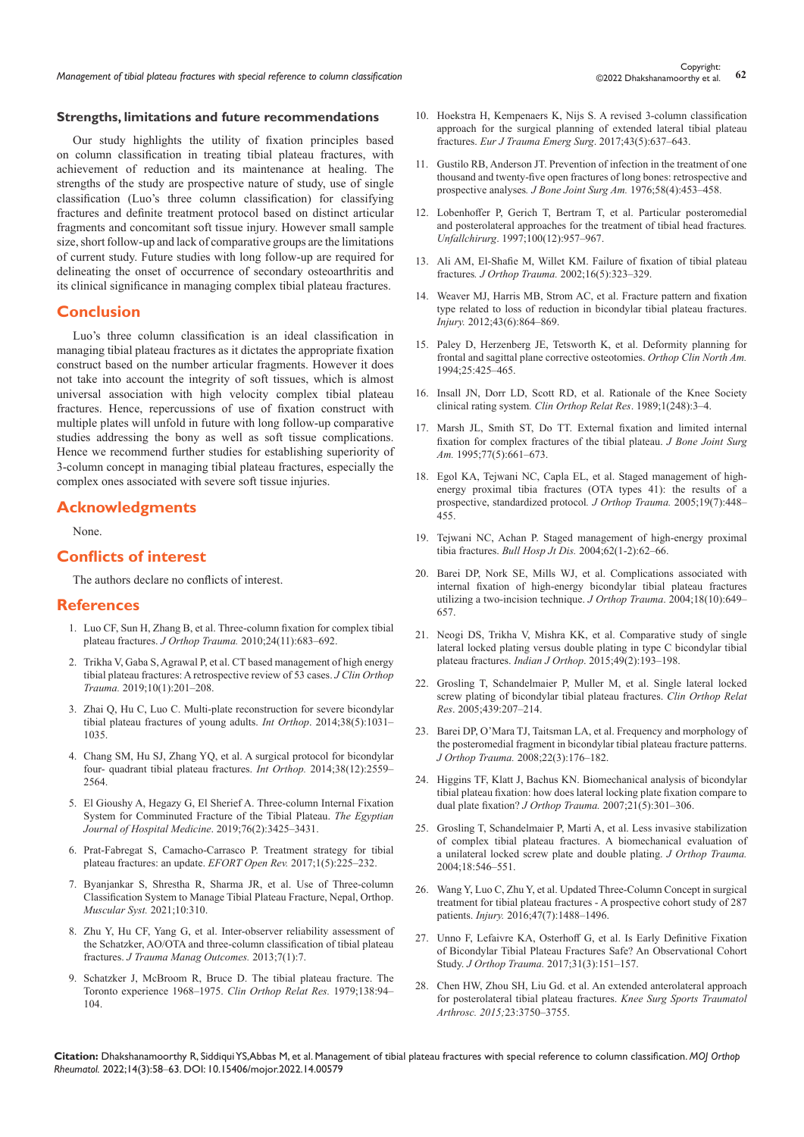Copyright:<br>Management of tibial plateau fractures with special reference to column classification **62** Copyright: **62** Copyright: **62** Copyright: **62** Copyright: **62** Copyright: **62** Copyright: **62** Copyright: **62** Conserv

### **Strengths, limitations and future recommendations**

Our study highlights the utility of fixation principles based on column classification in treating tibial plateau fractures, with achievement of reduction and its maintenance at healing. The strengths of the study are prospective nature of study, use of single classification (Luo's three column classification) for classifying fractures and definite treatment protocol based on distinct articular fragments and concomitant soft tissue injury. However small sample size, short follow-up and lack of comparative groups are the limitations of current study. Future studies with long follow-up are required for delineating the onset of occurrence of secondary osteoarthritis and its clinical significance in managing complex tibial plateau fractures.

# **Conclusion**

Luo's three column classification is an ideal classification in managing tibial plateau fractures as it dictates the appropriate fixation construct based on the number articular fragments. However it does not take into account the integrity of soft tissues, which is almost universal association with high velocity complex tibial plateau fractures. Hence, repercussions of use of fixation construct with multiple plates will unfold in future with long follow-up comparative studies addressing the bony as well as soft tissue complications. Hence we recommend further studies for establishing superiority of 3-column concept in managing tibial plateau fractures, especially the complex ones associated with severe soft tissue injuries.

# **Acknowledgments**

None.

# **Conflicts of interest**

The authors declare no conflicts of interest.

# **References**

- 1. [Luo CF, Sun H, Zhang B, et al. Three-column fixation for complex tibial](https://pubmed.ncbi.nlm.nih.gov/20881634/)  plateau fractures. *J Orthop Trauma.* [2010;24\(11\):683–692.](https://pubmed.ncbi.nlm.nih.gov/20881634/)
- 2. [Trikha V, Gaba S, Agrawal P, et al. CT based management of high energy](https://pubmed.ncbi.nlm.nih.gov/30705560/)  [tibial plateau fractures: A retrospective review of 53 cases.](https://pubmed.ncbi.nlm.nih.gov/30705560/) *J Clin Orthop Trauma.* [2019;10\(1\):201–208.](https://pubmed.ncbi.nlm.nih.gov/30705560/)
- 3. [Zhai Q, Hu C, Luo C. Multi-plate reconstruction for severe bicondylar](https://pubmed.ncbi.nlm.nih.gov/24346508/)  [tibial plateau fractures of young adults.](https://pubmed.ncbi.nlm.nih.gov/24346508/) *Int Orthop*. 2014;38(5):1031– [1035.](https://pubmed.ncbi.nlm.nih.gov/24346508/)
- 4. [Chang SM, Hu SJ, Zhang YQ, et al. A surgical protocol for bicondylar](https://pubmed.ncbi.nlm.nih.gov/25172362/)  [four- quadrant tibial plateau fractures.](https://pubmed.ncbi.nlm.nih.gov/25172362/) *Int Orthop.* 2014;38(12):2559– [2564.](https://pubmed.ncbi.nlm.nih.gov/25172362/)
- 5. [El Gioushy A, Hegazy G, El Sherief A. Three-column Internal Fixation](https://ejhm.journals.ekb.eg/article_37909_687edd8db906484cfe106e9fdb102b2e.pdf)  [System for Comminuted Fracture of the Tibial Plateau.](https://ejhm.journals.ekb.eg/article_37909_687edd8db906484cfe106e9fdb102b2e.pdf) *The Egyptian [Journal of Hospital Medicine](https://ejhm.journals.ekb.eg/article_37909_687edd8db906484cfe106e9fdb102b2e.pdf)*. 2019;76(2):3425–3431.
- 6. [Prat-Fabregat S, Camacho-Carrasco P. Treatment strategy for tibial](https://pubmed.ncbi.nlm.nih.gov/28461952/)  [plateau fractures: an update.](https://pubmed.ncbi.nlm.nih.gov/28461952/) *EFORT Open Rev.* 2017;1(5):225–232.
- 7. [Byanjankar S, Shrestha R, Sharma JR, et al. Use of Three-column](https://www.longdom.org/open-access/use-of-threecolumn-classification-system-to-manage-tibial-plateaufracture.pdf)  [Classification System to Manage Tibial Plateau Fracture, Nepal, Orthop.](https://www.longdom.org/open-access/use-of-threecolumn-classification-system-to-manage-tibial-plateaufracture.pdf)  *[Muscular Syst.](https://www.longdom.org/open-access/use-of-threecolumn-classification-system-to-manage-tibial-plateaufracture.pdf)* 2021;10:310.
- 8. [Zhu Y, Hu CF, Yang G, et al. Inter-observer reliability assessment of](https://pubmed.ncbi.nlm.nih.gov/24025650/)  [the Schatzker, AO/OTA and three-column classification of tibial plateau](https://pubmed.ncbi.nlm.nih.gov/24025650/)  fractures. *[J Trauma Manag Outcomes.](https://pubmed.ncbi.nlm.nih.gov/24025650/)* 2013;7(1):7.
- 9. [Schatzker J, McBroom R, Bruce D. The tibial plateau fracture. The](https://pubmed.ncbi.nlm.nih.gov/445923/)  [Toronto experience 1968–1975.](https://pubmed.ncbi.nlm.nih.gov/445923/) *Clin Orthop Relat Res.* 1979;138:94– [104.](https://pubmed.ncbi.nlm.nih.gov/445923/)
- 10. [Hoekstra H, Kempenaers K, Nijs S. A revised 3-column classification](https://pubmed.ncbi.nlm.nih.gov/27277073/)  [approach for the surgical planning of extended lateral tibial plateau](https://pubmed.ncbi.nlm.nih.gov/27277073/)  fractures. *[Eur J Trauma Emerg Surg](https://pubmed.ncbi.nlm.nih.gov/27277073/)*. 2017;43(5):637–643.
- 11. [Gustilo RB, Anderson JT. Prevention of infection in the treatment of one](https://pubmed.ncbi.nlm.nih.gov/773941/)  [thousand and twenty-five open fractures of long bones: retrospective and](https://pubmed.ncbi.nlm.nih.gov/773941/)  prospective analyses*[. J Bone Joint Surg Am.](https://pubmed.ncbi.nlm.nih.gov/773941/)* 1976;58(4):453–458.
- 12. [Lobenhoffer P, Gerich T, Bertram T, et al. Particular posteromedial](https://pubmed.ncbi.nlm.nih.gov/9492642/)  [and posterolateral approaches for the treatment of tibial head fractures](https://pubmed.ncbi.nlm.nih.gov/9492642/)*. Unfallchirurg*[. 1997;100\(12\):957–967.](https://pubmed.ncbi.nlm.nih.gov/9492642/)
- 13. [Ali AM, El-Shafie M, Willet KM. Failure of fixation of tibial plateau](https://pubmed.ncbi.nlm.nih.gov/11972075/)  fractures*. J Orthop Trauma.* [2002;16\(5\):323–329.](https://pubmed.ncbi.nlm.nih.gov/11972075/)
- 14. [Weaver MJ, Harris MB, Strom AC, et al. Fracture pattern and fixation](https://pubmed.ncbi.nlm.nih.gov/22169068/)  [type related to loss of reduction in bicondylar tibial plateau fractures.](https://pubmed.ncbi.nlm.nih.gov/22169068/)  *Injury.* [2012;43\(6\):864–869.](https://pubmed.ncbi.nlm.nih.gov/22169068/)
- 15. [Paley D, Herzenberg JE, Tetsworth K, et al. Deformity planning for](https://pubmed.ncbi.nlm.nih.gov/8028886/)  [frontal and sagittal plane corrective osteotomies.](https://pubmed.ncbi.nlm.nih.gov/8028886/) *Orthop Clin North Am.* [1994;25:425–465.](https://pubmed.ncbi.nlm.nih.gov/8028886/)
- 16. [Insall JN, Dorr LD, Scott RD, et al. Rationale of the Knee Society](https://pubmed.ncbi.nlm.nih.gov/2805470/)  clinical rating system*[. Clin Orthop Relat Res](https://pubmed.ncbi.nlm.nih.gov/2805470/)*. 1989;1(248):3–4.
- 17. [Marsh JL, Smith ST, Do TT. External fixation and limited internal](https://pubmed.ncbi.nlm.nih.gov/7744891/)  [fixation for complex fractures of the tibial plateau.](https://pubmed.ncbi.nlm.nih.gov/7744891/) *J Bone Joint Surg Am.* [1995;77\(5\):661–673.](https://pubmed.ncbi.nlm.nih.gov/7744891/)
- 18. [Egol KA, Tejwani NC, Capla EL, et al. Staged management of high](https://pubmed.ncbi.nlm.nih.gov/16056075/)[energy proximal tibia fractures \(OTA types 41\): the results of a](https://pubmed.ncbi.nlm.nih.gov/16056075/)  [prospective, standardized protocol](https://pubmed.ncbi.nlm.nih.gov/16056075/)*. J Orthop Trauma.* 2005;19(7):448– [455.](https://pubmed.ncbi.nlm.nih.gov/16056075/)
- 19. [Tejwani NC, Achan P. Staged management of high-energy proximal](https://pubmed.ncbi.nlm.nih.gov/15517860/)  tibia fractures. *Bull Hosp Jt Dis.* [2004;62\(1-2\):62–66.](https://pubmed.ncbi.nlm.nih.gov/15517860/)
- 20. [Barei DP, Nork SE, Mills WJ, et al. Complications associated with](https://pubmed.ncbi.nlm.nih.gov/15507817/)  [internal fixation of high-energy bicondylar tibial plateau fractures](https://pubmed.ncbi.nlm.nih.gov/15507817/)  [utilizing a two-incision technique.](https://pubmed.ncbi.nlm.nih.gov/15507817/) *J Orthop Trauma*. 2004;18(10):649– [657.](https://pubmed.ncbi.nlm.nih.gov/15507817/)
- 21. [Neogi DS, Trikha V, Mishra KK, et al. Comparative study of single](https://pubmed.ncbi.nlm.nih.gov/26015609/)  [lateral locked plating versus double plating in type C bicondylar tibial](https://pubmed.ncbi.nlm.nih.gov/26015609/)  plateau fractures. *Indian J Orthop*[. 2015;49\(2\):193–198.](https://pubmed.ncbi.nlm.nih.gov/26015609/)
- 22. [Grosling T, Schandelmaier P, Muller M, et al. Single lateral locked](https://pubmed.ncbi.nlm.nih.gov/16205161/)  [screw plating of bicondylar tibial plateau fractures.](https://pubmed.ncbi.nlm.nih.gov/16205161/) *Clin Orthop Relat Res*[. 2005;439:207–214.](https://pubmed.ncbi.nlm.nih.gov/16205161/)
- 23. [Barei DP, O'Mara TJ, Taitsman LA, et al. Frequency and morphology of](https://pubmed.ncbi.nlm.nih.gov/18317051/)  [the posteromedial fragment in bicondylar tibial plateau fracture patterns.](https://pubmed.ncbi.nlm.nih.gov/18317051/)  *J Orthop Trauma.* [2008;22\(3\):176–182.](https://pubmed.ncbi.nlm.nih.gov/18317051/)
- 24. [Higgins TF, Klatt J, Bachus KN. Biomechanical analysis of bicondylar](https://pubmed.ncbi.nlm.nih.gov/17485994/)  [tibial plateau fixation: how does lateral locking plate fixation compare to](https://pubmed.ncbi.nlm.nih.gov/17485994/)  dual plate fixation? *J Orthop Trauma.* [2007;21\(5\):301–306.](https://pubmed.ncbi.nlm.nih.gov/17485994/)
- 25. [Grosling T, Schandelmaier P, Marti A, et al. Less invasive stabilization](https://pubmed.ncbi.nlm.nih.gov/15475851/)  [of complex tibial plateau fractures. A biomechanical evaluation of](https://pubmed.ncbi.nlm.nih.gov/15475851/)  [a unilateral locked screw plate and double plating.](https://pubmed.ncbi.nlm.nih.gov/15475851/) *J Orthop Trauma.*  [2004;18:546–551.](https://pubmed.ncbi.nlm.nih.gov/15475851/)
- 26. [Wang Y, Luo C, Zhu Y, et al. Updated Three-Column Concept in surgical](https://pubmed.ncbi.nlm.nih.gov/27211226/)  [treatment for tibial plateau fractures - A prospective cohort study of 287](https://pubmed.ncbi.nlm.nih.gov/27211226/)  patients. *Injury.* [2016;47\(7\):1488–1496.](https://pubmed.ncbi.nlm.nih.gov/27211226/)
- 27. [Unno F, Lefaivre KA, Osterhoff G, et al. Is Early Definitive Fixation](https://pubmed.ncbi.nlm.nih.gov/28072649/)  [of Bicondylar Tibial Plateau Fractures Safe? An Observational Cohort](https://pubmed.ncbi.nlm.nih.gov/28072649/)  Study. *J Orthop Trauma.* [2017;31\(3\):151–157.](https://pubmed.ncbi.nlm.nih.gov/28072649/)
- 28. Chen HW, Zhou SH, Liu Gd. et al. [An extended anterolateral approach](https://pubmed.ncbi.nlm.nih.gov/25217317/)  [for posterolateral tibial plateau fractures.](https://pubmed.ncbi.nlm.nih.gov/25217317/) *Knee Surg Sports Traumatol Arthrosc. 2015;*[23:3750–3755.](https://pubmed.ncbi.nlm.nih.gov/25217317/)